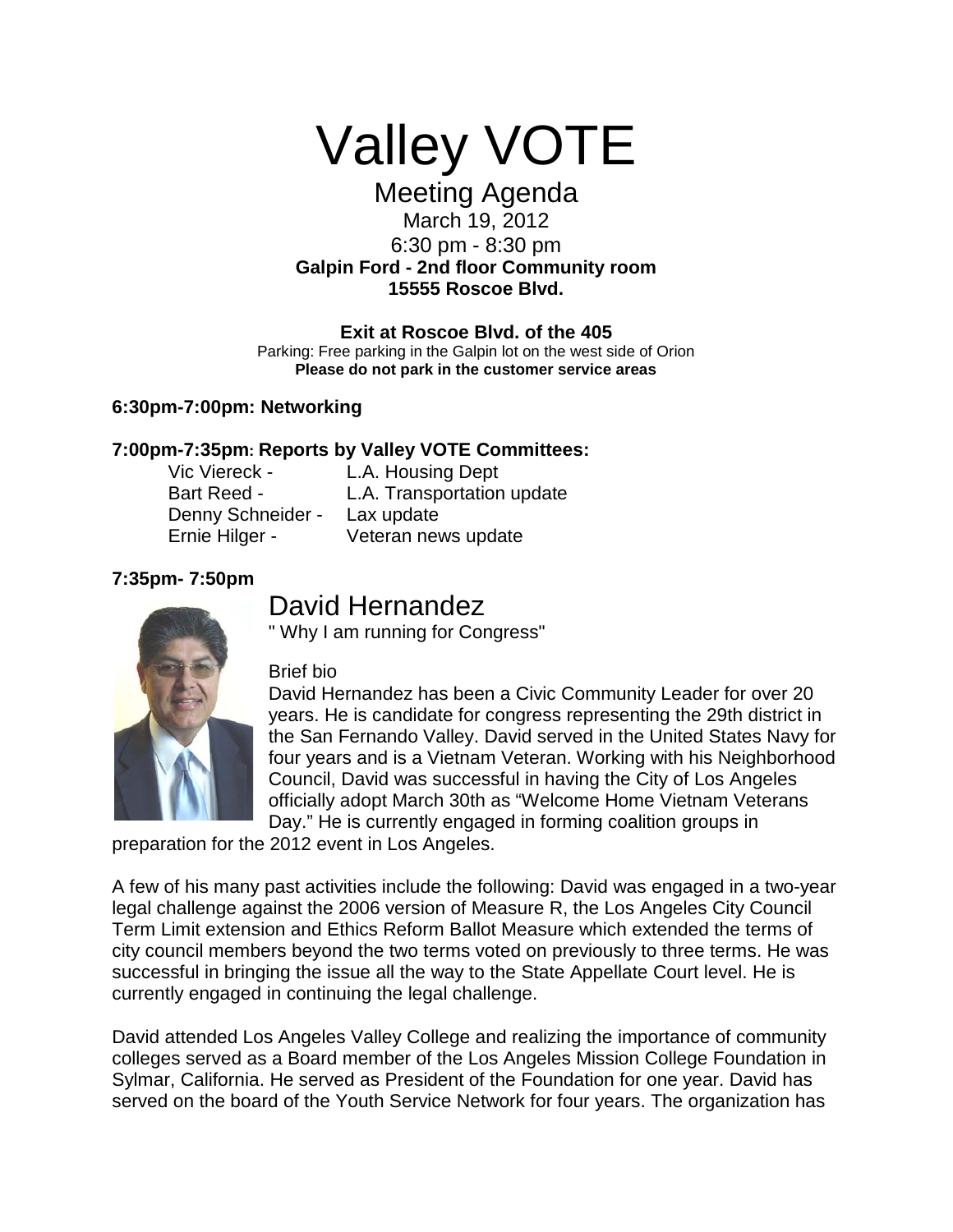

# Meeting Agenda March 19, 2012 6:30 pm - 8:30 pm **Galpin Ford - 2nd floor Community room**

**15555 Roscoe Blvd.**

#### **Exit at Roscoe Blvd. of the 405**

Parking: Free parking in the Galpin lot on the west side of Orion **Please do not park in the customer service areas**

#### **6:30pm-7:00pm: Networking**

#### **7:00pm-7:35pm: Reports by Valley VOTE Committees:**

| Vic Viereck -      | L.A. Housing Dept          |
|--------------------|----------------------------|
| <b>Bart Reed -</b> | L.A. Transportation update |
| Denny Schneider -  | Lax update                 |
| Ernie Hilger -     | Veteran news update        |

# **7:35pm- 7:50pm**

# David Hernandez<br>" Why I am running for Congress"



#### Brief bio

David Hernandez has been a Civic Community Leader for over 20 years. He is candidate for congress representing the 29th district in the San Fernando Valley. David served in the United States Navy for four years and is a Vietnam Veteran. Working with his Neighborhood Council, David was successful in having the City of Los Angeles officially adopt March 30th as "Welcome Home Vietnam Veterans Day." He is currently engaged in forming coalition groups in

preparation for the 2012 event in Los Angeles.

A few of his many past activities include the following: David was engaged in a two-year legal challenge against the 2006 version of Measure R, the Los Angeles City Council Term Limit extension and Ethics Reform Ballot Measure which extended the terms of city council members beyond the two terms voted on previously to three terms. He was successful in bringing the issue all the way to the State Appellate Court level. He is currently engaged in continuing the legal challenge.

David attended Los Angeles Valley College and realizing the importance of community colleges served as a Board member of the Los Angeles Mission College Foundation in Sylmar, California. He served as President of the Foundation for one year. David has served on the board of the Youth Service Network for four years. The organization has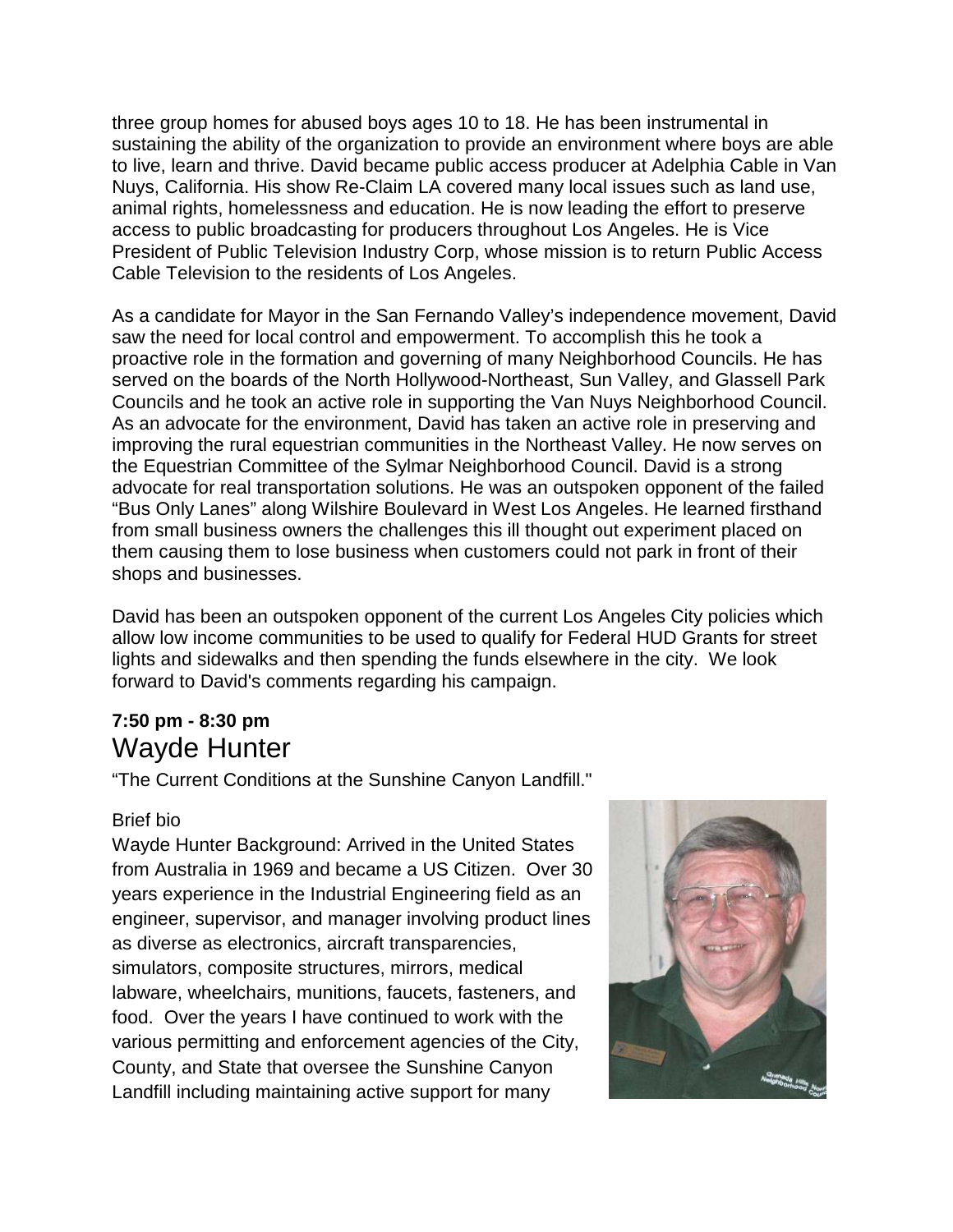three group homes for abused boys ages 10 to 18. He has been instrumental in sustaining the ability of the organization to provide an environment where boys are able to live, learn and thrive. David became public access producer at Adelphia Cable in Van Nuys, California. His show Re-Claim LA covered many local issues such as land use, animal rights, homelessness and education. He is now leading the effort to preserve access to public broadcasting for producers throughout Los Angeles. He is Vice President of Public Television Industry Corp, whose mission is to return Public Access Cable Television to the residents of Los Angeles.

As a candidate for Mayor in the San Fernando Valley's independence movement, David saw the need for local control and empowerment. To accomplish this he took a proactive role in the formation and governing of many Neighborhood Councils. He has served on the boards of the North Hollywood-Northeast, Sun Valley, and Glassell Park Councils and he took an active role in supporting the Van Nuys Neighborhood Council. As an advocate for the environment, David has taken an active role in preserving and improving the rural equestrian communities in the Northeast Valley. He now serves on the Equestrian Committee of the Sylmar Neighborhood Council. David is a strong advocate for real transportation solutions. He was an outspoken opponent of the failed "Bus Only Lanes" along Wilshire Boulevard in West Los Angeles. He learned firsthand from small business owners the challenges this ill thought out experiment placed on them causing them to lose business when customers could not park in front of their shops and businesses.

David has been an outspoken opponent of the current Los Angeles City policies which allow low income communities to be used to qualify for Federal HUD Grants for street lights and sidewalks and then spending the funds elsewhere in the city. We look forward to David's comments regarding his campaign.

# **7:50 pm - 8:30 pm** Wayde Hunter

"The Current Conditions at the Sunshine Canyon Landfill."

#### Brief bio

Wayde Hunter Background: Arrived in the United States from Australia in 1969 and became a US Citizen. Over 30 years experience in the Industrial Engineering field as an engineer, supervisor, and manager involving product lines as diverse as electronics, aircraft transparencies, simulators, composite structures, mirrors, medical labware, wheelchairs, munitions, faucets, fasteners, and food. Over the years I have continued to work with the various permitting and enforcement agencies of the City, County, and State that oversee the Sunshine Canyon Landfill including maintaining active support for many